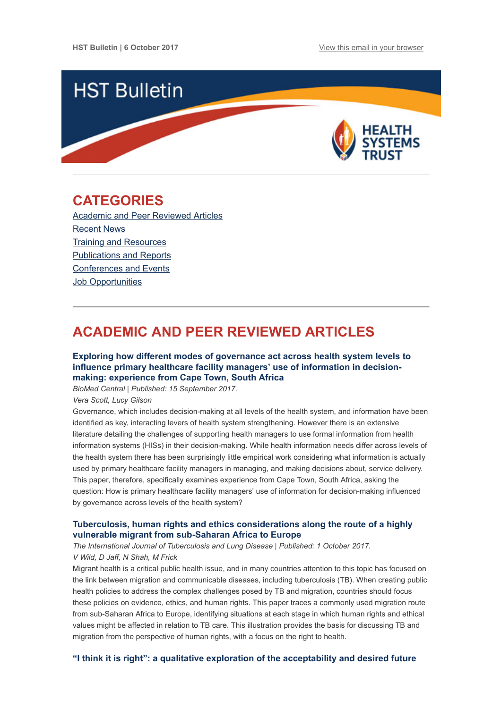

## <span id="page-0-1"></span>CATEGORIES

[Academic and Peer Reviewed Articles](#page-0-0) [Recent News](#page-2-0) [Training and Resources](#page-2-1) [Publications and Reports](#page-3-0) [Conferences and Events](#page-3-1) [Job Opportunities](#page-3-2)

# <span id="page-0-0"></span>ACADEMIC AND PEER REVIEWED ARTICLES

## [Exploring how different modes of governance act across health system levels to](https://equityhealthj.biomedcentral.com/articles/10.1186/s12939-017-0660-5) influence primary healthcare facility managers' use of information in decisionmaking: experience from Cape Town, South Africa

BioMed Central | Published: 15 September 2017.

Vera Scott, Lucy Gilson

Governance, which includes decision-making at all levels of the health system, and information have been identified as key, interacting levers of health system strengthening. However there is an extensive literature detailing the challenges of supporting health managers to use formal information from health information systems (HISs) in their decision-making. While health information needs differ across levels of the health system there has been surprisingly little empirical work considering what information is actually used by primary healthcare facility managers in managing, and making decisions about, service delivery. This paper, therefore, specifically examines experience from Cape Town, South Africa, asking the question: How is primary healthcare facility managers' use of information for decision-making influenced by governance across levels of the health system?

## [Tuberculosis, human rights and ethics considerations along the route of a highly](http://www.ingentaconnect.com/content/iuatld/ijtld/2017/00000021/00000010/art00005) vulnerable migrant from sub-Saharan Africa to Europe

The International Journal of Tuberculosis and Lung Disease | Published: 1 October 2017. V Wild, D Jaff, N Shah, M Frick

Migrant health is a critical public health issue, and in many countries attention to this topic has focused on the link between migration and communicable diseases, including tuberculosis (TB). When creating public health policies to address the complex challenges posed by TB and migration, countries should focus these policies on evidence, ethics, and human rights. This paper traces a commonly used migration route from sub-Saharan Africa to Europe, identifying situations at each stage in which human rights and ethical values might be affected in relation to TB care. This illustration provides the basis for discussing TB and migration from the perspective of human rights, with a focus on the right to health.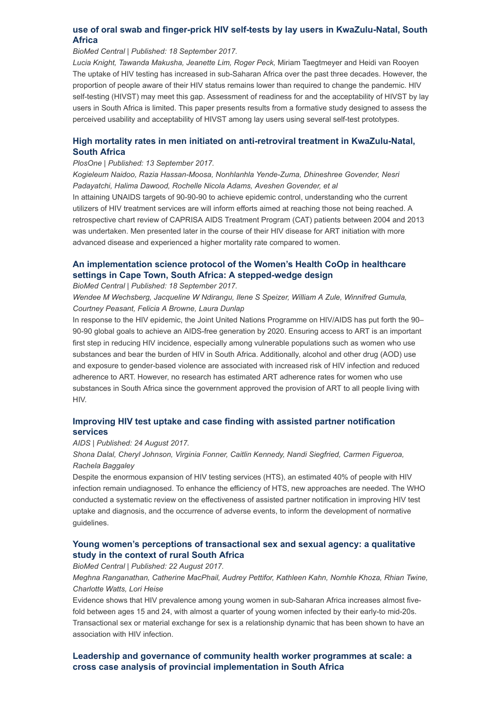## [use of oral swab and finger-prick HIV self-tests by lay users in KwaZulu-Natal, South](https://bmcresnotes.biomedcentral.com/articles/10.1186/s13104-017-2810-7) Africa

#### BioMed Central | Published: 18 September 2017.

Lucia Knight, Tawanda Makusha, Jeanette Lim, Roger Peck, Miriam Taegtmeyer and Heidi van Rooyen The uptake of HIV testing has increased in sub-Saharan Africa over the past three decades. However, the proportion of people aware of their HIV status remains lower than required to change the pandemic. HIV self-testing (HIVST) may meet this gap. Assessment of readiness for and the acceptability of HIVST by lay users in South Africa is limited. This paper presents results from a formative study designed to assess the perceived usability and acceptability of HIVST among lay users using several self-test prototypes.

## [High mortality rates in men initiated on anti-retroviral treatment in KwaZulu-Natal,](http://journals.plos.org/plosone/article?id=10.1371/journal.pone.0184124) South Africa

#### PlosOne | Published: 13 September 2017.

Kogieleum Naidoo, Razia Hassan-Moosa, Nonhlanhla Yende-Zuma, Dhineshree Govender, Nesri Padayatchi, Halima Dawood, Rochelle Nicola Adams, Aveshen Govender, et al

In attaining UNAIDS targets of 90-90-90 to achieve epidemic control, understanding who the current utilizers of HIV treatment services are will inform efforts aimed at reaching those not being reached. A retrospective chart review of CAPRISA AIDS Treatment Program (CAT) patients between 2004 and 2013 was undertaken. Men presented later in the course of their HIV disease for ART initiation with more advanced disease and experienced a higher mortality rate compared to women.

## [An implementation science protocol of the Women's Health CoOp in healthcare](https://bmcwomenshealth.biomedcentral.com/articles/10.1186/s12905-017-0433-8) settings in Cape Town, South Africa: A stepped-wedge design

#### BioMed Central | Published: 18 September 2017.

Wendee M Wechsberg, Jacqueline W Ndirangu, Ilene S Speizer, William A Zule, Winnifred Gumula, Courtney Peasant, Felicia A Browne, Laura Dunlap

In response to the HIV epidemic, the Joint United Nations Programme on HIV/AIDS has put forth the 90– 90-90 global goals to achieve an AIDS-free generation by 2020. Ensuring access to ART is an important first step in reducing HIV incidence, especially among vulnerable populations such as women who use substances and bear the burden of HIV in South Africa. Additionally, alcohol and other drug (AOD) use and exposure to gender-based violence are associated with increased risk of HIV infection and reduced adherence to ART. However, no research has estimated ART adherence rates for women who use substances in South Africa since the government approved the provision of ART to all people living with HIV.

## [Improving HIV test uptake and case finding with assisted partner notification](http://journals.lww.com/aidsonline/Fulltext/2017/08240/Improving_HIV_test_uptake_and_case_finding_with.12.aspx) services

#### AIDS | Published: 24 August 2017.

Shona Dalal, Cheryl Johnson, Virginia Fonner, Caitlin Kennedy, Nandi Siegfried, Carmen Figueroa, Rachela Baggaley

Despite the enormous expansion of HIV testing services (HTS), an estimated 40% of people with HIV infection remain undiagnosed. To enhance the efficiency of HTS, new approaches are needed. The WHO conducted a systematic review on the effectiveness of assisted partner notification in improving HIV test uptake and diagnosis, and the occurrence of adverse events, to inform the development of normative guidelines.

## [Young women's perceptions of transactional sex and sexual agency: a qualitative](https://bmcpublichealth.biomedcentral.com/articles/10.1186/s12889-017-4636-6) study in the context of rural South Africa

BioMed Central | Published: 22 August 2017.

Meghna Ranganathan, Catherine MacPhail, Audrey Pettifor, Kathleen Kahn, Nomhle Khoza, Rhian Twine, Charlotte Watts, Lori Heise

Evidence shows that HIV prevalence among young women in sub-Saharan Africa increases almost fivefold between ages 15 and 24, with almost a quarter of young women infected by their early-to mid-20s. Transactional sex or material exchange for sex is a relationship dynamic that has been shown to have an association with HIV infection.

## [Leadership and governance of community health worker programmes at scale: a](https://equityhealthj.biomedcentral.com/articles/10.1186/s12939-017-0565-3) cross case analysis of provincial implementation in South Africa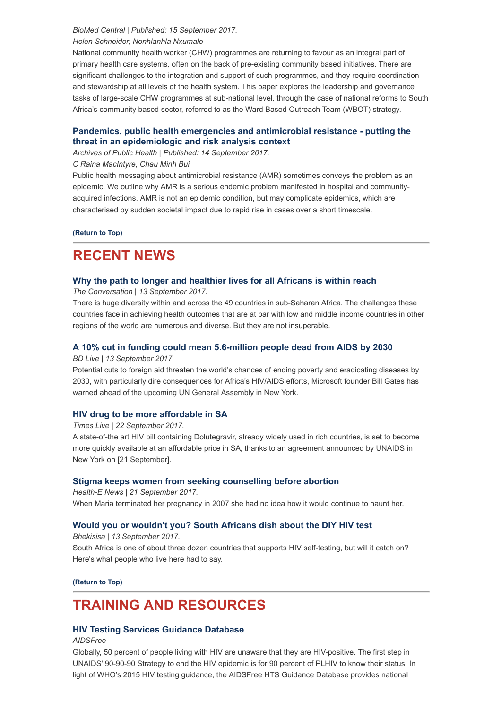#### BioMed Central | Published: 15 September 2017.

#### Helen Schneider, Nonhlanhla Nxumalo

National community health worker (CHW) programmes are returning to favour as an integral part of primary health care systems, often on the back of pre-existing community based initiatives. There are significant challenges to the integration and support of such programmes, and they require coordination and stewardship at all levels of the health system. This paper explores the leadership and governance tasks of large-scale CHW programmes at sub-national level, through the case of national reforms to South Africa's community based sector, referred to as the Ward Based Outreach Team (WBOT) strategy.

### [Pandemics, public health emergencies and antimicrobial resistance - putting the](https://archpublichealth.biomedcentral.com/articles/10.1186/s13690-017-0223-7) threat in an epidemiologic and risk analysis context

Archives of Public Health | Published: 14 September 2017.

#### C Raina MacIntyre, Chau Minh Bui

Public health messaging about antimicrobial resistance (AMR) sometimes conveys the problem as an epidemic. We outline why AMR is a serious endemic problem manifested in hospital and communityacquired infections. AMR is not an epidemic condition, but may complicate epidemics, which are characterised by sudden societal impact due to rapid rise in cases over a short timescale.

[\(Return to Top\)](#page-0-1)

## <span id="page-2-0"></span>RECENT NEWS

### [Why the path to longer and healthier lives for all Africans is within reach](https://theconversation.com/why-the-path-to-longer-and-healthier-lives-for-all-africans-is-within-reach-83654)

The Conversation | 13 September 2017.

There is huge diversity within and across the 49 countries in sub-Saharan Africa. The challenges these countries face in achieving health outcomes that are at par with low and middle income countries in other regions of the world are numerous and diverse. But they are not insuperable.

## [A 10% cut in funding could mean 5.6-million people dead from AIDS by 2030](https://www.businesslive.co.za/bd/national/health/2017-09-13-a-10-cut-in-funding-could-mean-56-million-people-dead-from-aids-by-2030/)

#### BD Live | 13 September 2017.

Potential cuts to foreign aid threaten the world's chances of ending poverty and eradicating diseases by 2030, with particularly dire consequences for Africa's HIV/AIDS efforts, Microsoft founder Bill Gates has warned ahead of the upcoming UN General Assembly in New York.

#### [HIV drug to be more affordable in SA](https://www.timeslive.co.za/news/south-africa/2017-09-22-hiv-drug-to-be-more-affordable-in-sa/)

Times Live | 22 September 2017.

A state-of-the art HIV pill containing Dolutegravir, already widely used in rich countries, is set to become more quickly available at an affordable price in SA, thanks to an agreement announced by UNAIDS in New York on [21 September].

#### [Stigma keeps women from seeking counselling before abortion](https://www.health-e.org.za/2017/09/21/stigma-keeps-women-seeking-counselling-abortion/)

Health-E News | 21 September 2017. When Maria terminated her pregnancy in 2007 she had no idea how it would continue to haunt her.

## [Would you or wouldn't you? South Africans dish about the DIY HIV test](http://bhekisisa.org/article/2017-09-13-00-the-diy-hiv-self-test-would-you-or-wouldnt-you)

Bhekisisa | 13 September 2017.

South Africa is one of about three dozen countries that supports HIV self-testing, but will it catch on? Here's what people who live here had to say.

[\(Return to Top\)](#page-0-1)

## <span id="page-2-1"></span>TRAINING AND RESOURCES

## [HIV Testing Services Guidance Database](https://aidsfree.usaid.gov/resources/guidance-data/hts)

AIDSFree

Globally, 50 percent of people living with HIV are unaware that they are HIV-positive. The first step in UNAIDS' 90-90-90 Strategy to end the HIV epidemic is for 90 percent of PLHIV to know their status. In light of WHO's 2015 HIV testing guidance, the AIDSFree HTS Guidance Database provides national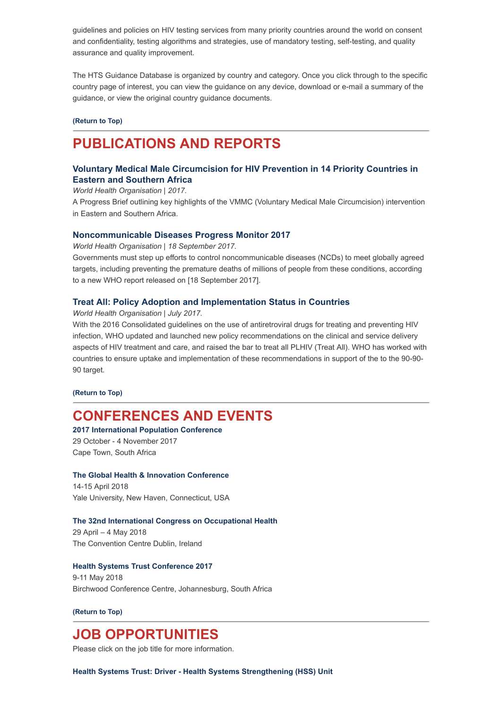guidelines and policies on HIV testing services from many priority countries around the world on consent and confidentiality, testing algorithms and strategies, use of mandatory testing, self-testing, and quality assurance and quality improvement.

The HTS Guidance Database is organized by country and category. Once you click through to the specific country page of interest, you can view the guidance on any device, download or e-mail a summary of the guidance, or view the original country guidance documents.

#### [\(Return to Top\)](#page-0-1)

# <span id="page-3-0"></span>PUBLICATIONS AND REPORTS

## [Voluntary Medical Male Circumcision for HIV Prevention in 14 Priority Countries in](http://www.hst.org.za/publications/NonHST%20Publications/WHO-HIV-VMMC%20Southern%20Africa.pdf) Eastern and Southern Africa

World Health Organisation | 2017.

A Progress Brief outlining key highlights of the VMMC (Voluntary Medical Male Circumcision) intervention in Eastern and Southern Africa.

#### [Noncommunicable Diseases Progress Monitor 2017](http://www.hst.org.za/publications/NonHST%20Publications/Noncommunicable%20Diseases%20Progress%20Monitor%202017.pdf)

World Health Organisation | 18 September 2017.

Governments must step up efforts to control noncommunicable diseases (NCDs) to meet globally agreed targets, including preventing the premature deaths of millions of people from these conditions, according to a new WHO report released on [18 September 2017].

#### [Treat All: Policy Adoption and Implementation Status in Countries](http://www.hst.org.za/publications/NonHST%20Publications/Treat%20All-%20policy%20adoption%20and%20implementation%20status%20in%20countries.pdf)

World Health Organisation | July 2017.

With the 2016 Consolidated guidelines on the use of antiretroviral drugs for treating and preventing HIV infection, WHO updated and launched new policy recommendations on the clinical and service delivery aspects of HIV treatment and care, and raised the bar to treat all PLHIV (Treat All). WHO has worked with countries to ensure uptake and implementation of these recommendations in support of the to the 90-90- 90 target.

[\(Return to Top\)](#page-0-1)

## <span id="page-3-1"></span>CONFERENCES AND EVENTS

#### [2017 International Population Conference](http://ipc2017capetown.iussp.org/)

29 October - 4 November 2017 Cape Town, South Africa

### [The Global Health & Innovation Conference](http://globalhealth.org/event/global-health-innovation-conference-2018/)

14-15 April 2018 Yale University, New Haven, Connecticut, USA

#### [The 32nd International Congress on Occupational Health](http://icoh2018.org/wp/)

29 April – 4 May 2018 The Convention Centre Dublin, Ireland

#### [Health Systems Trust Conference 2017](http://www.hst.org.za/hstconference/hstconference2018/Pages/default.aspx)

9-11 May 2018 Birchwood Conference Centre, Johannesburg, South Africa

#### [\(Return to Top\)](#page-0-1)

## <span id="page-3-2"></span>JOB OPPORTUNITIES

Please click on the job title for more information.

[Health Systems Trust: Driver - Health Systems Strengthening \(HSS\) Unit](http://www.hst.org.za/Pages/Health-Systems-Strengthening-(HSS)-Unit---Driver.aspx)